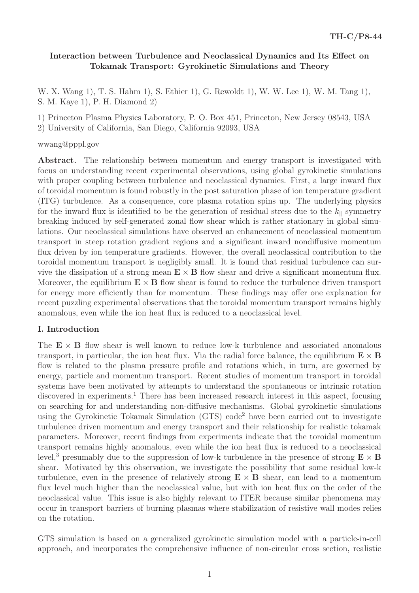# **Interaction between Turbulence and Neoclassical Dynamics and Its Effect on Tokamak Transport: Gyrokinetic Simulations and Theory**

W. X. Wang 1), T. S. Hahm 1), S. Ethier 1), G. Rewoldt 1), W. W. Lee 1), W. M. Tang 1), S. M. Kaye 1), P. H. Diamond 2)

1) Princeton Plasma Physics Laboratory, P. O. Box 451, Princeton, New Jersey 08543, USA

2) University of California, San Diego, California 92093, USA

#### wwang@pppl.gov

Abstract. The relationship between momentum and energy transport is investigated with focus on understanding recent experimental observations, using global gyrokinetic simulations with proper coupling between turbulence and neoclassical dynamics. First, a large inward flux of toroidal momentum is found robustly in the post saturation phase of ion temperature gradient (ITG) turbulence. As a consequence, core plasma rotation spins up. The underlying physics for the inward flux is identified to be the generation of residual stress due to the  $k_{\parallel}$  symmetry breaking induced by self-generated zonal flow shear which is rather stationary in global simulations. Our neoclassical simulations have observed an enhancement of neoclassical momentum transport in steep rotation gradient regions and a significant inward nondiffusive momentum flux driven by ion temperature gradients. However, the overall neoclassical contribution to the toroidal momentum transport is negligibly small. It is found that residual turbulence can survive the dissipation of a strong mean  $\mathbf{E} \times \mathbf{B}$  flow shear and drive a significant momentum flux. Moreover, the equilibrium  $\mathbf{E} \times \mathbf{B}$  flow shear is found to reduce the turbulence driven transport for energy more efficiently than for momentum. These findings may offer one explanation for recent puzzling experimental observations that the toroidal momentum transport remains highly anomalous, even while the ion heat flux is reduced to a neoclassical level.

#### **I. Introduction**

The  $E \times B$  flow shear is well known to reduce low-k turbulence and associated anomalous transport, in particular, the ion heat flux. Via the radial force balance, the equilibrium  $\mathbf{E} \times \mathbf{B}$ flow is related to the plasma pressure profile and rotations which, in turn, are governed by energy, particle and momentum transport. Recent studies of momentum transport in toroidal systems have been motivated by attempts to understand the spontaneous or intrinsic rotation discovered in experiments.<sup>1</sup> There has been increased research interest in this aspect, focusing on searching for and understanding non-diffusive mechanisms. Global gyrokinetic simulations using the Gyrokinetic Tokamak Simulation (GTS) code<sup>2</sup> have been carried out to investigate turbulence driven momentum and energy transport and their relationship for realistic tokamak parameters. Moreover, recent findings from experiments indicate that the toroidal momentum transport remains highly anomalous, even while the ion heat flux is reduced to a neoclassical level,<sup>3</sup> presumably due to the suppression of low-k turbulence in the presence of strong  $\mathbf{E} \times \mathbf{B}$ shear. Motivated by this observation, we investigate the possibility that some residual low-k turbulence, even in the presence of relatively strong  $E \times B$  shear, can lead to a momentum flux level much higher than the neoclassical value, but with ion heat flux on the order of the neoclassical value. This issue is also highly relevant to ITER because similar phenomena may occur in transport barriers of burning plasmas where stabilization of resistive wall modes relies on the rotation.

GTS simulation is based on a generalized gyrokinetic simulation model with a particle-in-cell approach, and incorporates the comprehensive influence of non-circular cross section, realistic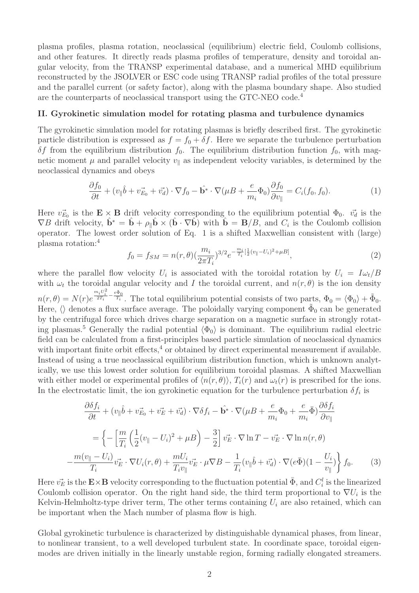plasma profiles, plasma rotation, neoclassical (equilibrium) electric field, Coulomb collisions, and other features. It directly reads plasma profiles of temperature, density and toroidal angular velocity, from the TRANSP experimental database, and a numerical MHD equilibrium reconstructed by the JSOLVER or ESC code using TRANSP radial profiles of the total pressure and the parallel current (or safety factor), along with the plasma boundary shape. Also studied are the counterparts of neoclassical transport using the GTC-NEO code.<sup>4</sup>

#### **II. Gyrokinetic simulation model for rotating plasma and turbulence dynamics**

The gyrokinetic simulation model for rotating plasmas is briefly described first. The gyrokinetic particle distribution is expressed as  $f = f_0 + \delta f$ . Here we separate the turbulence perturbation  $\delta f$  from the equilibrium distribution  $f_0$ . The equilibrium distribution function  $f_0$ , with magnetic moment  $\mu$  and parallel velocity  $v_{\parallel}$  as independent velocity variables, is determined by the neoclassical dynamics and obeys

$$
\frac{\partial f_0}{\partial t} + (v_{\parallel} \hat{b} + v_{E_0}^2 + v_d^2) \cdot \nabla f_0 - \hat{\mathbf{b}^*} \cdot \nabla (\mu B + \frac{e}{m_i} \Phi_0) \frac{\partial f_0}{\partial v_{\parallel}} = C_i(f_0, f_0). \tag{1}
$$

Here  $v_{E_0}$  is the  $\mathbf{E} \times \mathbf{B}$  drift velocity corresponding to the equilibrium potential  $\Phi_0$ .  $v_d$  is the  $\nabla B$  drift velocity,  $\hat{\mathbf{b}}^* = \hat{\mathbf{b}} + \rho_{\parallel} \hat{\mathbf{b}} \times (\hat{\mathbf{b}} \cdot \nabla \hat{\mathbf{b}})$  with  $\hat{\mathbf{b}} = \mathbf{B}/B$ , and  $C_i$  is the Coulomb collision operator. The lowest order solution of Eq. 1 is a shifted Maxwellian consistent with (large) plasma rotation:<sup>4</sup>

$$
f_0 = f_{SM} = n(r,\theta) \left(\frac{m_i}{2\pi T_i}\right)^{3/2} e^{-\frac{m_i}{T_i} \left[\frac{1}{2}(v_{\parallel} - U_i)^2 + \mu B\right]},\tag{2}
$$

where the parallel flow velocity  $U_i$  is associated with the toroidal rotation by  $U_i = I\omega_t/B$ with  $\omega_t$  the toroidal angular velocity and I the toroidal current, and  $n(r, \theta)$  is the ion density  $n(r, \theta) = N(r)e$  $\frac{m_i U_i^2}{2T_i} - \frac{e\tilde{\Phi}_0}{T_i}$ . The total equilibrium potential consists of two parts,  $\Phi_0 = \langle \Phi_0 \rangle + \tilde{\Phi}_0$ . Here,  $\langle \rangle$  denotes a flux surface average. The poloidally varying component  $\tilde{\Phi}_0$  can be generated by the centrifugal force which drives charge separation on a magnetic surface in strongly rotating plasmas.<sup>5</sup> Generally the radial potential  $\langle \Phi_0 \rangle$  is dominant. The equilibrium radial electric field can be calculated from a first-principles based particle simulation of neoclassical dynamics with important finite orbit effects, $4$  or obtained by direct experimental measurement if available. Instead of using a true neoclassical equilibrium distribution function, which is unknown analytically, we use this lowest order solution for equilibrium toroidal plasmas. A shifted Maxwellian with either model or experimental profiles of  $\langle n(r, \theta) \rangle$ ,  $T_i(r)$  and  $\omega_t(r)$  is prescribed for the ions.

In the electrostatic limit, the ion gyrokinetic equation for the turbulence perturbation 
$$
\delta f_i
$$
 is  
\n
$$
\frac{\partial \delta f_i}{\partial t} + (v_{\parallel} \hat{b} + v_{E_0}^2 + v_E^2 + v_d^2) \cdot \nabla \delta f_i - \hat{\mathbf{b}}^* \cdot \nabla (\mu B + \frac{e}{m_i} \Phi_0 + \frac{e}{m_i} \bar{\Phi}) \frac{\partial \delta f_i}{\partial v_{\parallel}}
$$
\n
$$
= \left\{ -\left[ \frac{m}{T_i} \left( \frac{1}{2} (v_{\parallel} - U_i)^2 + \mu B \right) - \frac{3}{2} \right] v_E^2 \cdot \nabla \ln T - v_E^2 \cdot \nabla \ln n(r, \theta) \right\}
$$
\n
$$
- \frac{m(v_{\parallel} - U_i)}{T_i} v_E^2 \cdot \nabla U_i(r, \theta) + \frac{mU_i}{T_i v_{\parallel}} v_E^2 \cdot \mu \nabla B - \frac{1}{T_i} (v_{\parallel} \hat{b} + v_d^2) \cdot \nabla (e \bar{\Phi}) (1 - \frac{U_i}{v_{\parallel}}) \right\} f_0. \tag{3}
$$

Here  $\vec{v_E}$  is the  $\mathbf{E} \times \mathbf{B}$  velocity corresponding to the fluctuation potential  $\bar{\Phi}$ , and  $C_i^l$  is the linearized Coulomb collision operator. On the right hand side, the third term proportional to  $\nabla U_i$  is the Kelvin-Helmholtz-type driver term, The other terms containing  $U_i$  are also retained, which can be important when the Mach number of plasma flow is high.

Global gyrokinetic turbulence is characterized by distinguishable dynamical phases, from linear, to nonlinear transient, to a well developed turbulent state. In coordinate space, toroidal eigenmodes are driven initially in the linearly unstable region, forming radially elongated streamers.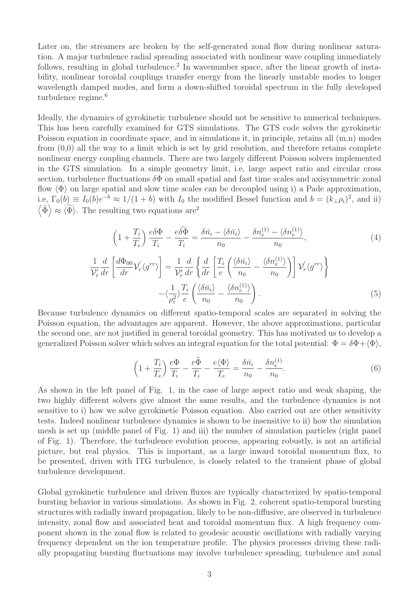Later on, the streamers are broken by the self-generated zonal flow during nonlinear saturation. A major turbulence radial spreading associated with nonlinear wave coupling immediately follows, resulting in global turbulence.<sup>2</sup> In wavenumber space, after the linear growth of instability, nonlinear toroidal couplings transfer energy from the linearly unstable modes to longer wavelength damped modes, and form a down-shifted toroidal spectrum in the fully developed turbulence regime.<sup>6</sup>

Ideally, the dynamics of gyrokinetic turbulence should not be sensitive to numerical techniques. This has been carefully examined for GTS simulations. The GTS code solves the gyrokinetic Poisson equation in coordinate space, and in simulations it, in principle, retains all (m,n) modes from (0,0) all the way to a limit which is set by grid resolution, and therefore retains complete nonlinear energy coupling channels. There are two largely different Poisson solvers implemented in the GTS simulation. In a simple geometry limit, i.e, large aspect ratio and circular cross section, turbulence fluctuations  $\delta\Phi$  on small spatial and fast time scales and axisymmetric zonal flow  $\langle \Phi \rangle$  on large spatial and slow time scales can be decoupled using i) a Pade approximation, i.e,  $\Gamma_0(b) \equiv I_0(b)e^{-b} \approx 1/(1+b)$  with  $I_0$  the modified Bessel function and  $b = (k_{\perp} \rho_i)^2$ , and ii)  $\langle \tilde{\Phi} \rangle \approx \langle \widetilde{\Phi} \rangle$ . The resulting two equations are<sup>2</sup>

$$
\left(1 + \frac{T_i}{T_e}\right) \frac{e\delta\Phi}{T_i} - \frac{e\widetilde{\delta\Phi}}{T_i} = \frac{\delta\bar{n}_i - \langle\delta\bar{n}_i\rangle}{n_0} - \frac{\delta n_e^{(1)} - \langle\delta n_e^{(1)}\rangle}{n_0},
$$
\n
$$
\frac{d}{dr} \left[\frac{d\Phi_{00}}{dr} \mathcal{V}_r' \langle g^{rr} \rangle \right] = \frac{1}{\mathcal{V}_r'} \frac{d}{dr} \left\{ \frac{d}{dr} \left[\frac{T_i}{e} \left(\frac{\langle\delta\bar{n}_i\rangle}{n_0} - \frac{\langle\delta n_e^{(1)}\rangle}{n_0}\right)\right] \mathcal{V}_r' \langle g^{rr} \rangle \right\}
$$
\n(4)

$$
\frac{1}{\mathcal{V}_r'} \frac{d}{dr} \left[ \frac{d\Phi_{00}}{dr} \mathcal{V}_r' \langle g^{rr} \rangle \right] = \frac{1}{\mathcal{V}_r'} \frac{d}{dr} \left\{ \frac{d}{dr} \left[ \frac{T_i}{e} \left( \frac{\langle \delta \bar{n}_i \rangle}{n_0} - \frac{\langle \delta n_e^{(1)} \rangle}{n_0} \right) \right] \mathcal{V}_r' \langle g^{rr} \rangle \right\} -\langle \frac{1}{\rho_i^2} \rangle \frac{T_i}{e} \left( \frac{\langle \delta \bar{n}_i \rangle}{n_0} - \frac{\langle \delta n_e^{(1)} \rangle}{n_0} \right).
$$
(5)

Because turbulence dynamics on different spatio-temporal scales are separated in solving the Poisson equation, the advantages are apparent. However, the above approximations, particular the second one, are not justified in general toroidal geometry. This has motivated us to develop a generalized Poisson solver which solves an integral equation for the total potential:  $\Phi = \delta \Phi + \langle \Phi \rangle$ , paren<br>al toro<br>n inte<br> $-\frac{e\widetilde{\Phi}}{T}$ 

$$
\left(1 + \frac{T_i}{T_e}\right) \frac{e\Phi}{T_i} - \frac{e\tilde{\Phi}}{T_i} - \frac{e\langle\Phi\rangle}{T_e} = \frac{\delta\bar{n}_i}{n_0} - \frac{\delta n_e^{(1)}}{n_0}.
$$
\n<sup>(6)</sup>

As shown in the left panel of Fig. 1, in the case of large aspect ratio and weak shaping, the two highly different solvers give almost the same results, and the turbulence dynamics is not sensitive to i) how we solve gyrokinetic Poisson equation. Also carried out are other sensitivity tests. Indeed nonlinear turbulence dynamics is shown to be insensitive to ii) how the simulation mesh is set up (middle panel of Fig. 1) and iii) the number of simulation particles (right panel of Fig. 1). Therefore, the turbulence evolution process, appearing robustly, is not an artificial picture, but real physics. This is important, as a large inward toroidal momentum flux, to be presented, driven with ITG turbulence, is closely related to the transient phase of global turbulence development.

Global gyrokinetic turbulence and driven fluxes are typically characterized by spatio-temporal bursting behavior in various simulations. As shown in Fig. 2, coherent spatio-temporal bursting structures with radially inward propagation, likely to be non-diffusive, are observed in turbulence intensity, zonal flow and associated heat and toroidal momentum flux. A high frequency component shown in the zonal flow is related to geodesic acoustic oscillations with radially varying frequency dependent on the ion temperature profile. The physics processes driving these radially propagating bursting fluctuations may involve turbulence spreading, turbulence and zonal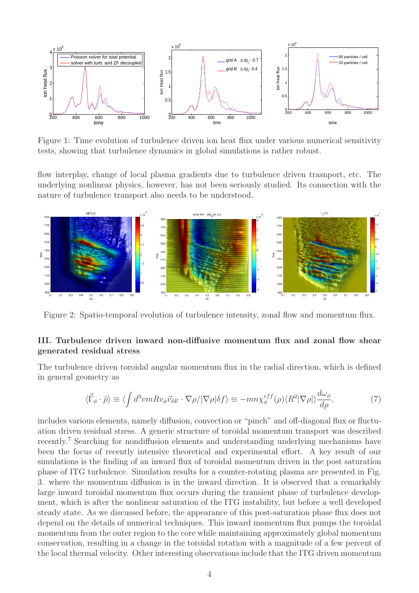

Figure 1: Time evolution of turbulence driven ion heat flux under various numerical sensitivity tests, showing that turbulence dynamics in global simulations is rather robust.

flow interplay, change of local plasma gradients due to turbulence driven trasnport, etc. The underlying nonlinear physics, however, has not been seriously studied. Its connection with the nature of turbulence transport also needs to be understood.



Figure 2: Spatio-temporal evolution of turbulence intensity, zonal flow and momentum flux.

### **III. Turbulence driven inward non-diffusive momentum flux and zonal flow shear generated residual stress**

The turbulence driven toroidal angular momentum flux in the radial direction, which is defined in general geometry as Figure  $\frac{1}{\Gamma}$ <br>  $\vec{\Gamma}_{\phi} \cdot \hat{\rho}$  =  $\langle \rho |$ 

$$
\langle \vec{\Gamma}_{\phi} \cdot \hat{\rho} \rangle \equiv \langle \int d^3 v m R v_{\phi} \vec{v}_{\delta E} \cdot \nabla \rho / |\nabla \rho| \delta f \rangle \equiv -m n \chi_{\phi}^{eff}(\rho) \langle R^2 | \nabla \rho| \rangle \frac{d \omega_{\phi}}{d \rho},\tag{7}
$$

includes various elements, namely diffusion, convection or "pinch" and off-diagonal flux or fluctuation driven residual stress. A generic structure of toroidal momentum transport was described recently.<sup>7</sup> Searching for nondiffusion elements and understanding underlying mechanisms have been the focus of recently intensive theoretical and experimental effort. A key result of our simulations is the finding of an inward flux of toroidal momentum driven in the post saturation phase of ITG turbulence. Simulation results for a counter-rotating plasma are presented in Fig. 3. where the momentum diffusion is in the inward direction. It is observed that a remarkably large inward toroidal momentum flux occurs during the transient phase of turbulence development, which is after the nonlinear saturation of the ITG instability, but before a well developed steady state. As we discussed before, the appearance of this post-saturation phase flux does not depend on the details of numerical techniques. This inward momentum flux pumps the toroidal momentum from the outer region to the core while maintaining approximately global momentum conservation, resulting in a change in the toroidal rotation with a magnitude of a few percent of the local thermal velocity. Other interesting observations include that the ITG driven momentum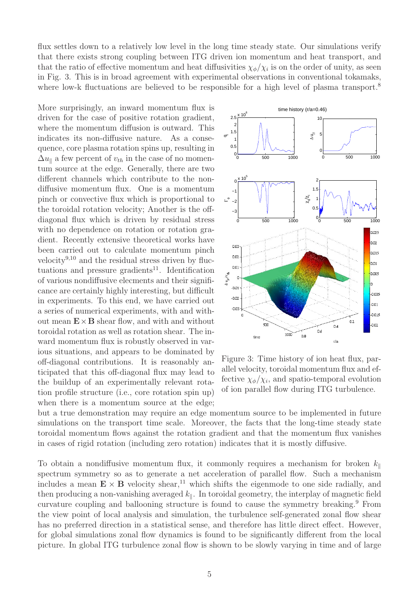flux settles down to a relatively low level in the long time steady state. Our simulations verify that there exists strong coupling between ITG driven ion momentum and heat transport, and that the ratio of effective momentum and heat diffusivities  $\chi_{\phi}/\chi_i$  is on the order of unity, as seen in Fig. 3. This is in broad agreement with experimental observations in conventional tokamaks, where low-k fluctuations are believed to be responsible for a high level of plasma transport.<sup>8</sup>

More surprisingly, an inward momentum flux is driven for the case of positive rotation gradient, where the momentum diffusion is outward. This indicates its non-diffusive nature. As a consequence, core plasma rotation spins up, resulting in  $\Delta u_{\parallel}$  a few percent of  $v_{th}$  in the case of no momentum source at the edge. Generally, there are two different channels which contribute to the nondiffusive momentum flux. One is a momentum pinch or convective flux which is proportional to the toroidal rotation velocity; Another is the offdiagonal flux which is driven by residual stress with no dependence on rotation or rotation gradient. Recently extensive theoretical works have been carried out to calculate momentum pinch velocity<sup>9,10</sup> and the residual stress driven by fluctuations and pressure gradients<sup>11</sup>. Identification of various nondiffusive elecments and their significance are certainly highly interesting, but difficult in experiments. To this end, we have carried out a series of numerical experiments, with and without mean  $\mathbf{E} \times \mathbf{B}$  shear flow, and with and without toroidal rotation as well as rotation shear. The inward momentum flux is robustly observed in various situations, and appears to be dominated by off-diagonal contributions. It is reasonably anticipated that this off-diagonal flux may lead to the buildup of an experimentally relevant rotation profile structure (i.e., core rotation spin up) when there is a momentum source at the edge;



Figure 3: Time history of ion heat flux, parallel velocity, toroidal momentum flux and effective  $\chi_{\phi}/\chi_i$ , and spatio-temporal evolution of ion parallel flow during ITG turbulence.

but a true demonstration may require an edge momentum source to be implemented in future simulations on the transport time scale. Moreover, the facts that the long-time steady state toroidal momentum flows against the rotation gradient and that the momentum flux vanishes in cases of rigid rotation (including zero rotation) indicates that it is mostly diffusive.

To obtain a nondiffusive momentum flux, it commonly requires a mechanism for broken  $k_{\parallel}$ spectrum symmetry so as to generate a net acceleration of parallel flow. Such a mechanism includes a mean  $\mathbf{E} \times \mathbf{B}$  velocity shear,<sup>11</sup> which shifts the eigenmode to one side radially, and then producing a non-vanishing averaged  $k_{\parallel}$ . In toroidal geometry, the interplay of magnetic field curvature coupling and ballooning structure is found to cause the symmetry breaking.<sup>9</sup> From the view point of local analysis and simulation, the turbulence self-generated zonal flow shear has no preferred direction in a statistical sense, and therefore has little direct effect. However, for global simulations zonal flow dynamics is found to be significantly different from the local picture. In global ITG turbulence zonal flow is shown to be slowly varying in time and of large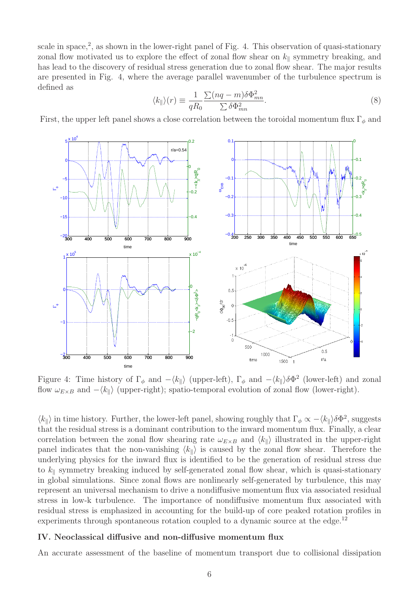scale in space,<sup>2</sup>, as shown in the lower-right panel of Fig. 4. This observation of quasi-stationary zonal flow motivated us to explore the effect of zonal flow shear on  $k_{\parallel}$  symmetry breaking, and has lead to the discovery of residual stress generation due to zonal flow shear. The major results<br>are presented in Fig. 4, where the average parallel wavenumber of the turbulence spectrum is<br>defined as<br> $(1 \tImes) = \frac{1}{\sum (n$ are presented in Fig. 4, where the average parallel wavenumber of the turbulence spectrum is defined as

$$
\langle k_{\parallel} \rangle(r) \equiv \frac{1}{qR_0} \frac{\sum (nq - m)\delta \Phi_{mn}^2}{\sum \delta \Phi_{mn}^2}.
$$
\n(8)

First, the upper left panel shows a close correlation between the toroidal momentum flux  $\Gamma_{\phi}$  and



Figure 4: Time history of  $\Gamma_{\phi}$  and  $-\langle k_{\parallel} \rangle$  (upper-left),  $\Gamma_{\phi}$  and  $-\langle k_{\parallel} \rangle \delta \Phi^2$  (lower-left) and zonal flow  $\omega_{E\times B}$  and  $-\langle k_{\parallel} \rangle$  (upper-right); spatio-temporal evolution of zonal flow (lower-right).

 $\langle k_{\parallel} \rangle$  in time history. Further, the lower-left panel, showing roughly that  $\Gamma_{\phi} \propto -\langle k_{\parallel} \rangle \delta \Phi^2$ , suggests that the residual stress is a dominant contribution to the inward momentum flux. Finally, a clear correlation between the zonal flow shearing rate  $\omega_{E\times B}$  and  $\langle k_{\parallel} \rangle$  illustrated in the upper-right panel indicates that the non-vanishing  $\langle k_{\parallel} \rangle$  is caused by the zonal flow shear. Therefore the underlying physics for the inward flux is identified to be the generation of residual stress due to  $k_{\parallel}$  symmetry breaking induced by self-generated zonal flow shear, which is quasi-stationary in global simulations. Since zonal flows are nonlinearly self-generated by turbulence, this may represent an universal mechanism to drive a nondiffusive momentum flux via associated residual stress in low-k turbulence. The importance of nondiffusive momentum flux associated with residual stress is emphasized in accounting for the build-up of core peaked rotation profiles in experiments through spontaneous rotation coupled to a dynamic source at the edge.<sup>12</sup>

#### **IV. Neoclassical diffusive and non-diffusive momentum flux**

An accurate assessment of the baseline of momentum transport due to collisional dissipation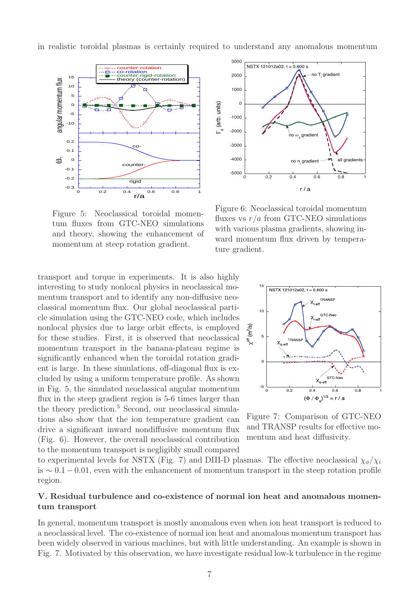in realistic toroidal plasmas is certainly required to understand any anomalous momentum



-5000  $-4000$  $-3000$  $-2000$ -1000 0 1000 2000 3000 0 0.2 0.4 0.6 0.8 1  $\Gamma_{\phi}$  (arb. units) r / a all gradients no T<sub>i</sub> gradient no  $\omega_{_\Phi}$  gradient  $NSTX 121012a02, t = 0.600 s$ no n<sub>i</sub> gradient

Figure 5: Neoclassical toroidal momentum fluxes from GTC-NEO simulations and theory, showing the enhancement of momentum at steep rotation gradient.

transport and torque in experiments. It is also highly interesting to study nonlocal physics in neoclassical momentum transport and to identify any non-diffusive neoclassical momentum flux. Our global neoclassical particle simulation using the GTC-NEO code, which includes nonlocal physics due to large orbit effects, is employed for these studies. First, it is observed that neoclassical momentum transport in the banana-plateau regime is significantly enhanced when the toroidal rotation gradient is large. In these simulations, off-diagonal flux is excluded by using a uniform temperature profile. As shown in Fig. 5, the simulated neoclassical angular momentum flux in the steep gradient region is 5-6 times larger than the theory prediction.<sup>5</sup> Second, our neoclassical simulations also show that the ion temperature gradient can drive a significant inward nondiffusive momentum flux (Fig. 6). However, the overall neoclassical contribution to the momentum transport is negligibly small compared

Figure 6: Neoclassical toroidal momentum fluxes vs  $r/a$  from GTC-NEO simulations with various plasma gradients, showing inward momentum flux driven by temperature gradient.



Figure 7: Comparison of GTC-NEO and TRANSP results for effective momentum and heat diffusivity.

to experimental levels for NSTX (Fig. 7) and DIII-D plasmas. The effective neoclassical  $\chi_{\phi}/\chi_{i}$ is  $\sim$  0.1 − 0.01, even with the enhancement of momentum transport in the steep rotation profile region.

# **V. Residual turbulence and co-existence of normal ion heat and anomalous momentum transport**

In general, momentum transport is mostly anomalous even when ion heat transport is reduced to a neoclassical level. The co-existence of normal ion heat and anomalous momentum transport has been widely observed in various machines, but with little understanding. An example is shown in Fig. 7. Motivated by this observation, we have investigate residual low-k turbulence in the regime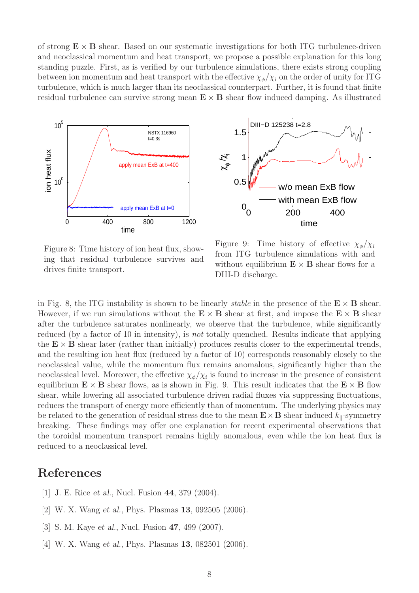of strong  $\mathbf{E} \times \mathbf{B}$  shear. Based on our systematic investigations for both ITG turbulence-driven and neoclassical momentum and heat transport, we propose a possible explanation for this long standing puzzle. First, as is verified by our turbulence simulations, there exists strong coupling between ion momentum and heat transport with the effective  $\chi_{\phi}/\chi_{i}$  on the order of unity for ITG turbulence, which is much larger than its neoclassical counterpart. Further, it is found that finite residual turbulence can survive strong mean  $\mathbf{E} \times \mathbf{B}$  shear flow induced damping. As illustrated





Figure 8: Time history of ion heat flux, showing that residual turbulence survives and drives finite transport.

Figure 9: Time history of effective  $\chi_{\phi}/\chi_{i}$ from ITG turbulence simulations with and without equilibrium  $\mathbf{E} \times \mathbf{B}$  shear flows for a DIII-D discharge.

in Fig. 8, the ITG instability is shown to be linearly *stable* in the presence of the  $\mathbf{E} \times \mathbf{B}$  shear. However, if we run simulations without the  $E \times B$  shear at first, and impose the  $E \times B$  shear after the turbulence saturates nonlinearly, we observe that the turbulence, while significantly reduced (by a factor of 10 in intensity), is *not* totally quenched. Results indicate that applying the  $E \times B$  shear later (rather than initially) produces results closer to the experimental trends, and the resulting ion heat flux (reduced by a factor of 10) corresponds reasonably closely to the neoclassical value, while the momentum flux remains anomalous, significantly higher than the neoclassical level. Moreover, the effective  $\chi_{\phi}/\chi_i$  is found to increase in the presence of consistent equilibrium  $\mathbf{E} \times \mathbf{B}$  shear flows, as is shown in Fig. 9. This result indicates that the  $\mathbf{E} \times \mathbf{B}$  flow shear, while lowering all associated turbulence driven radial fluxes via suppressing fluctuations, reduces the transport of energy more efficiently than of momentum. The underlying physics may be related to the generation of residual stress due to the mean  $\mathbf{E} \times \mathbf{B}$  shear induced  $k_{\parallel}$ -symmetry breaking. These findings may offer one explanation for recent experimental observations that the toroidal momentum transport remains highly anomalous, even while the ion heat flux is reduced to a neoclassical level.

# **References**

- [1] J. E. Rice *et al.*, Nucl. Fusion **44**, 379 (2004).
- [2] W. X. Wang *et al.*, Phys. Plasmas **13**, 092505 (2006).
- [3] S. M. Kaye *et al.*, Nucl. Fusion **47**, 499 (2007).
- [4] W. X. Wang *et al.*, Phys. Plasmas **13**, 082501 (2006).